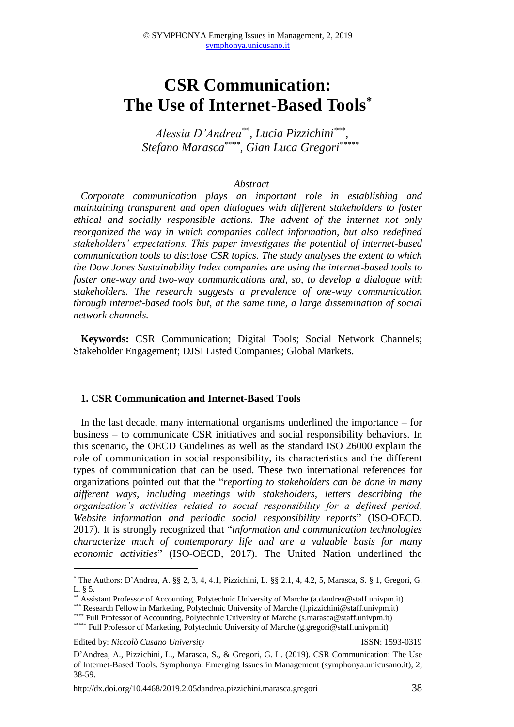# **CSR Communication: The Use of Internet-Based Tools\***

*Alessia D'Andrea\*\* , Lucia Pizzichini\*\*\* , Stefano Marasca\*\*\*\* , Gian Luca Gregori\*\*\*\*\**

#### *Abstract*

*Corporate communication plays an important role in establishing and maintaining transparent and open dialogues with different stakeholders to foster ethical and socially responsible actions. The advent of the internet not only reorganized the way in which companies collect information, but also redefined stakeholders' expectations. This paper investigates the potential of internet-based communication tools to disclose CSR topics. The study analyses the extent to which the Dow Jones Sustainability Index companies are using the internet-based tools to foster one-way and two-way communications and, so, to develop a dialogue with stakeholders. The research suggests a prevalence of one-way communication through internet-based tools but, at the same time, a large dissemination of social network channels.*

**Keywords:** CSR Communication; Digital Tools; Social Network Channels; Stakeholder Engagement; DJSI Listed Companies; Global Markets.

#### **1. CSR Communication and Internet-Based Tools**

In the last decade, many international organisms underlined the importance – for business – to communicate CSR initiatives and social responsibility behaviors. In this scenario, the OECD Guidelines as well as the standard ISO 26000 explain the role of communication in social responsibility, its characteristics and the different types of communication that can be used. These two international references for organizations pointed out that the "*reporting to stakeholders can be done in many different ways, including meetings with stakeholders, letters describing the organization's activities related to social responsibility for a defined period, Website information and periodic social responsibility reports*" (ISO-OECD, 2017). It is strongly recognized that "*information and communication technologies characterize much of contemporary life and are a valuable basis for many economic activities*" (ISO-OECD, 2017). The United Nation underlined the

Edited by: *Niccolò Cusano University* ISSN: 1593-0319

**.** 

<sup>\*</sup> The Authors: D'Andrea, A. §§ 2, 3, 4, 4.1, Pizzichini, L. §§ 2.1, 4, 4.2, 5, Marasca, S. § 1, Gregori, G. L. § 5.

<sup>\*\*</sup> Assistant Professor of Accounting, Polytechnic University of Marche [\(a.dandrea@staff.univpm.it\)](mailto:a.dandrea@staff.univpm.it)

<sup>\*\*\*</sup> Research Fellow in Marketing, Polytechnic University of Marche [\(l.pizzichini@staff.univpm.it\)](mailto:l.pizzichini@staff.univpm.it)

<sup>\*\*\*\*</sup> Full Professor of Accounting, Polytechnic University of Marche [\(s.marasca@staff.univpm.it\)](mailto:s.marasca@staff.univpm.it)

<sup>\*\*\*\*\*</sup> Full Professor of Marketing, Polytechnic University of Marche [\(g.gregori@staff.univpm.it\)](mailto:g.gregori@staff.univpm.it)

D'Andrea, A., Pizzichini, L., Marasca, S., & Gregori, G. L. (2019). CSR Communication: The Use of Internet-Based Tools. Symphonya. Emerging Issues in Management (symphonya.unicusano.it), 2, 38-59.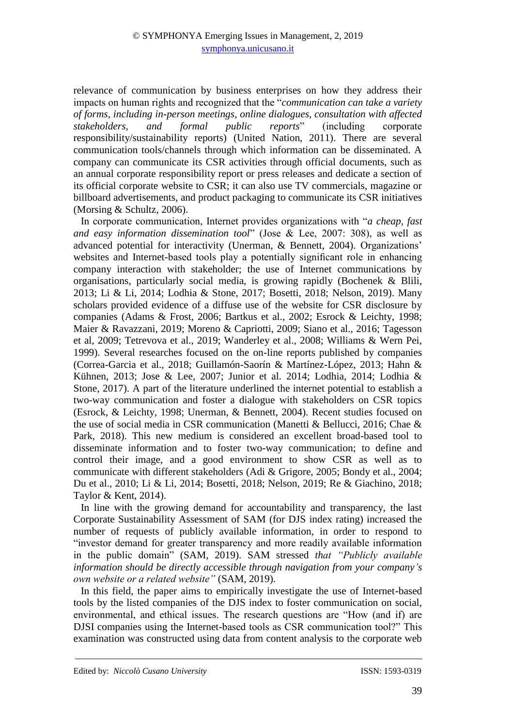relevance of communication by business enterprises on how they address their impacts on human rights and recognized that the "*communication can take a variety of forms, including in-person meetings, online dialogues, consultation with affected stakeholders, and formal public reports*" (including corporate responsibility/sustainability reports) (United Nation, 2011). There are several communication tools/channels through which information can be disseminated. A company can communicate its CSR activities through official documents, such as an annual corporate responsibility report or press releases and dedicate a section of its official corporate website to CSR; it can also use TV commercials, magazine or billboard advertisements, and product packaging to communicate its CSR initiatives (Morsing & Schultz, 2006).

In corporate communication, Internet provides organizations with "*a cheap, fast and easy information dissemination tool*" (Jose & Lee, 2007: 308), as well as advanced potential for interactivity (Unerman, & Bennett, 2004). Organizations' websites and Internet-based tools play a potentially significant role in enhancing company interaction with stakeholder; the use of Internet communications by organisations, particularly social media, is growing rapidly (Bochenek & Blili, 2013; Li & Li, 2014; Lodhia & Stone, 2017; Bosetti, 2018; Nelson, 2019). Many scholars provided evidence of a diffuse use of the website for CSR disclosure by companies (Adams & Frost, 2006; Bartkus et al., 2002; Esrock & Leichty, 1998; Maier & Ravazzani, 2019; Moreno & Capriotti, 2009; Siano et al., 2016; Tagesson et al, 2009; Tetrevova et al., 2019; Wanderley et al., 2008; Williams & Wern Pei, 1999). Several researches focused on the on-line reports published by companies (Correa-Garcia et al., 2018; Guillamón-Saorín & Martínez-López, 2013; Hahn & Kühnen, 2013; Jose & Lee, 2007; Junior et al. 2014; Lodhia, 2014; Lodhia & Stone, 2017). A part of the literature underlined the internet potential to establish a two-way communication and foster a dialogue with stakeholders on CSR topics (Esrock, & Leichty, 1998; Unerman, & Bennett, 2004). Recent studies focused on the use of social media in CSR communication (Manetti & Bellucci, 2016; Chae & Park, 2018). This new medium is considered an excellent broad-based tool to disseminate information and to foster two-way communication; to define and control their image, and a good environment to show CSR as well as to communicate with different stakeholders (Adi & Grigore, 2005; Bondy et al., 2004; Du et al., 2010; Li & Li, 2014; Bosetti, 2018; Nelson, 2019; Re & Giachino, 2018; Taylor & Kent, 2014).

In line with the growing demand for accountability and transparency, the last Corporate Sustainability Assessment of SAM (for DJS index rating) increased the number of requests of publicly available information, in order to respond to "investor demand for greater transparency and more readily available information in the public domain" (SAM, 2019). SAM stressed *that "Publicly available information should be directly accessible through navigation from your company's own website or a related website"* (SAM, 2019).

In this field, the paper aims to empirically investigate the use of Internet-based tools by the listed companies of the DJS index to foster communication on social, environmental, and ethical issues. The research questions are "How (and if) are DJSI companies using the Internet-based tools as CSR communication tool?" This examination was constructed using data from content analysis to the corporate web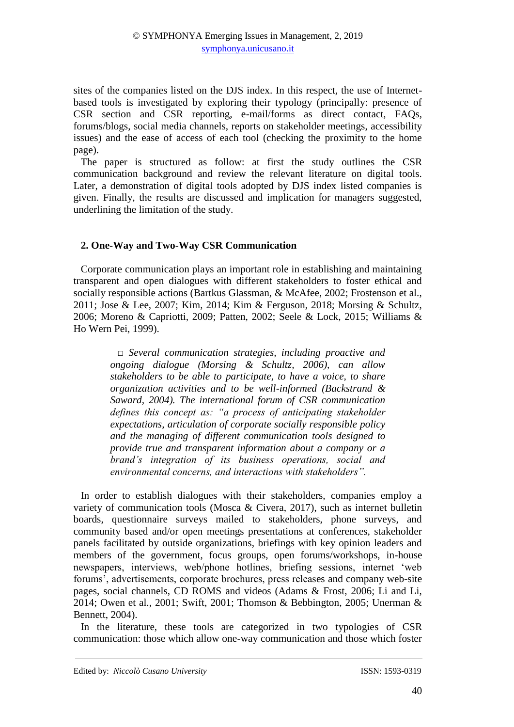sites of the companies listed on the DJS index. In this respect, the use of Internetbased tools is investigated by exploring their typology (principally: presence of CSR section and CSR reporting, e-mail/forms as direct contact, FAQs, forums/blogs, social media channels, reports on stakeholder meetings, accessibility issues) and the ease of access of each tool (checking the proximity to the home page).

The paper is structured as follow: at first the study outlines the CSR communication background and review the relevant literature on digital tools. Later, a demonstration of digital tools adopted by DJS index listed companies is given. Finally, the results are discussed and implication for managers suggested, underlining the limitation of the study.

## **2. One-Way and Two-Way CSR Communication**

Corporate communication plays an important role in establishing and maintaining transparent and open dialogues with different stakeholders to foster ethical and socially responsible actions (Bartkus Glassman, & McAfee, 2002; Frostenson et al., 2011; Jose & Lee, 2007; Kim, 2014; Kim & Ferguson, 2018; Morsing & Schultz, 2006; Moreno & Capriotti, 2009; Patten, 2002; Seele & Lock, 2015; Williams & Ho Wern Pei, 1999).

> *□ Several communication strategies, including proactive and ongoing dialogue (Morsing & Schultz, 2006), can allow stakeholders to be able to participate, to have a voice, to share organization activities and to be well-informed (Backstrand & Saward, 2004). The international forum of CSR communication defines this concept as: "a process of anticipating stakeholder expectations, articulation of corporate socially responsible policy and the managing of different communication tools designed to provide true and transparent information about a company or a brand's integration of its business operations, social and environmental concerns, and interactions with stakeholders".*

In order to establish dialogues with their stakeholders, companies employ a variety of communication tools (Mosca & Civera, 2017), such as internet bulletin boards, questionnaire surveys mailed to stakeholders, phone surveys, and community based and/or open meetings presentations at conferences, stakeholder panels facilitated by outside organizations, briefings with key opinion leaders and members of the government, focus groups, open forums/workshops, in-house newspapers, interviews, web/phone hotlines, briefing sessions, internet 'web forums', advertisements, corporate brochures, press releases and company web-site pages, social channels, CD ROMS and videos (Adams & Frost, 2006; Li and Li, 2014; Owen et al., 2001; Swift, 2001; Thomson & Bebbington, 2005; Unerman & Bennett, 2004).

In the literature, these tools are categorized in two typologies of CSR communication: those which allow one-way communication and those which foster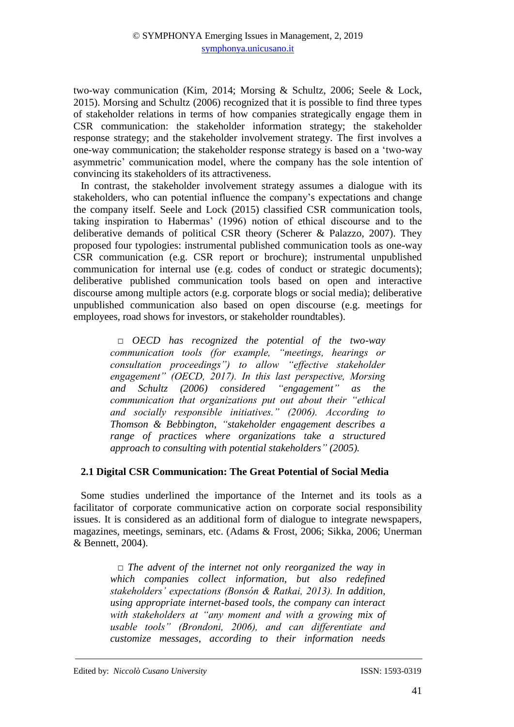two-way communication (Kim, 2014; Morsing & Schultz, 2006; Seele & Lock, 2015). Morsing and Schultz (2006) recognized that it is possible to find three types of stakeholder relations in terms of how companies strategically engage them in CSR communication: the stakeholder information strategy; the stakeholder response strategy; and the stakeholder involvement strategy. The first involves a one-way communication; the stakeholder response strategy is based on a 'two-way asymmetric' communication model, where the company has the sole intention of convincing its stakeholders of its attractiveness.

In contrast, the stakeholder involvement strategy assumes a dialogue with its stakeholders, who can potential influence the company's expectations and change the company itself. Seele and Lock (2015) classified CSR communication tools, taking inspiration to Habermas' (1996) notion of ethical discourse and to the deliberative demands of political CSR theory (Scherer & Palazzo, 2007). They proposed four typologies: instrumental published communication tools as one-way CSR communication (e.g. CSR report or brochure); instrumental unpublished communication for internal use (e.g. codes of conduct or strategic documents); deliberative published communication tools based on open and interactive discourse among multiple actors (e.g. corporate blogs or social media); deliberative unpublished communication also based on open discourse (e.g. meetings for employees, road shows for investors, or stakeholder roundtables).

> *□ OECD has recognized the potential of the two-way communication tools (for example, "meetings, hearings or consultation proceedings") to allow "effective stakeholder engagement" (OECD, 2017). In this last perspective, Morsing and Schultz (2006) considered "engagement" as the communication that organizations put out about their "ethical and socially responsible initiatives." (2006). According to Thomson & Bebbington, "stakeholder engagement describes a range of practices where organizations take a structured approach to consulting with potential stakeholders" (2005).*

### **2.1 Digital CSR Communication: The Great Potential of Social Media**

Some studies underlined the importance of the Internet and its tools as a facilitator of corporate communicative action on corporate social responsibility issues. It is considered as an additional form of dialogue to integrate newspapers, magazines, meetings, seminars, etc. (Adams & Frost, 2006; Sikka, 2006; Unerman & Bennett, 2004).

> *□ The advent of the internet not only reorganized the way in which companies collect information, but also redefined stakeholders' expectations (Bonsón & Ratkai, 2013). In addition, using appropriate internet-based tools, the company can interact with stakeholders at "any moment and with a growing mix of usable tools" (Brondoni, 2006), and can differentiate and customize messages, according to their information needs*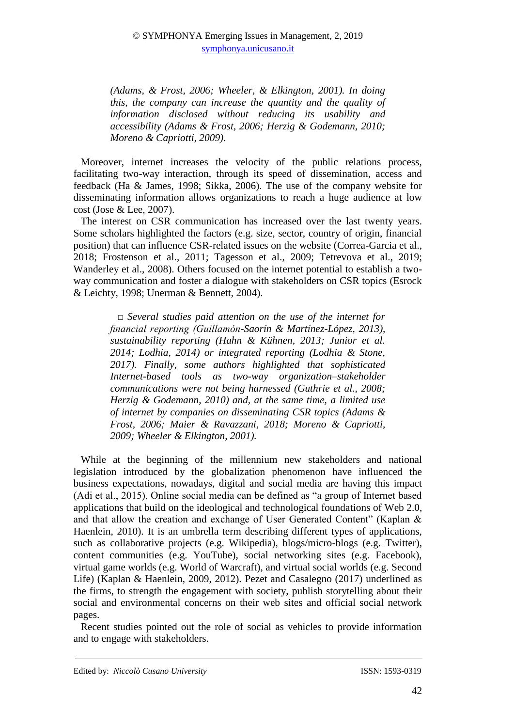*(Adams, & Frost, 2006; Wheeler, & Elkington, 2001). In doing this, the company can increase the quantity and the quality of information disclosed without reducing its usability and accessibility (Adams & Frost, 2006; Herzig & Godemann, 2010; Moreno & Capriotti, 2009).* 

Moreover, internet increases the velocity of the public relations process, facilitating two-way interaction, through its speed of dissemination, access and feedback (Ha & James, 1998; Sikka, 2006). The use of the company website for disseminating information allows organizations to reach a huge audience at low cost (Jose & Lee, 2007).

The interest on CSR communication has increased over the last twenty years. Some scholars highlighted the factors (e.g. size, sector, country of origin, financial position) that can influence CSR-related issues on the website (Correa-Garcia et al., 2018; Frostenson et al., 2011; Tagesson et al., 2009; Tetrevova et al., 2019; Wanderley et al., 2008). Others focused on the internet potential to establish a twoway communication and foster a dialogue with stakeholders on CSR topics (Esrock & Leichty, 1998; Unerman & Bennett, 2004).

*□ Several studies paid attention on the use of the internet for financial reporting (Guillamón-Saorín & Martínez-López, 2013), sustainability reporting (Hahn & Kühnen, 2013; Junior et al. 2014; Lodhia, 2014) or integrated reporting (Lodhia & Stone, 2017). Finally, some authors highlighted that sophisticated Internet-based tools as two-way organization–stakeholder communications were not being harnessed (Guthrie et al., 2008; Herzig & Godemann, 2010) and, at the same time, a limited use of internet by companies on disseminating CSR topics (Adams & Frost, 2006; Maier & Ravazzani, 2018; Moreno & Capriotti, 2009; Wheeler & Elkington, 2001).*

While at the beginning of the millennium new stakeholders and national legislation introduced by the globalization phenomenon have influenced the business expectations, nowadays, digital and social media are having this impact (Adi et al., 2015). Online social media can be defined as "a group of Internet based applications that build on the ideological and technological foundations of Web 2.0, and that allow the creation and exchange of User Generated Content" (Kaplan & Haenlein, 2010). It is an umbrella term describing different types of applications, such as collaborative projects (e.g. Wikipedia), blogs/micro-blogs (e.g. Twitter), content communities (e.g. YouTube), social networking sites (e.g. Facebook), virtual game worlds (e.g. World of Warcraft), and virtual social worlds (e.g. Second Life) (Kaplan & Haenlein, 2009, 2012). Pezet and Casalegno (2017) underlined as the firms, to strength the engagement with society, publish storytelling about their social and environmental concerns on their web sites and official social network pages.

Recent studies pointed out the role of social as vehicles to provide information and to engage with stakeholders.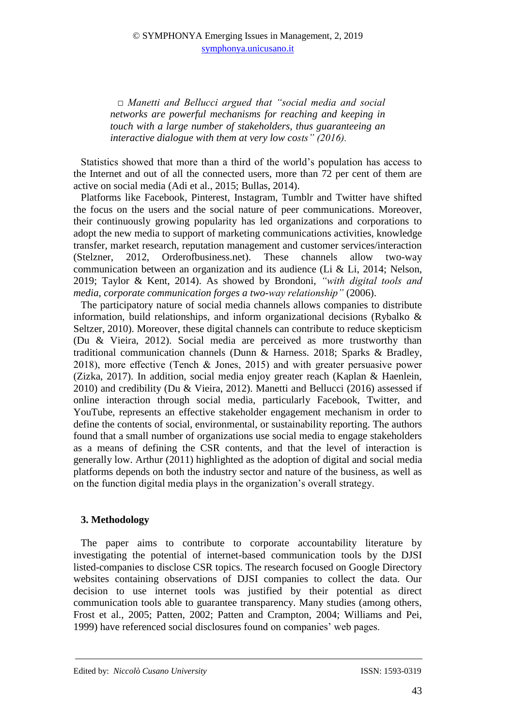*□ Manetti and Bellucci argued that "social media and social networks are powerful mechanisms for reaching and keeping in touch with a large number of stakeholders, thus guaranteeing an interactive dialogue with them at very low costs" (2016).* 

Statistics showed that more than a third of the world's population has access to the Internet and out of all the connected users, more than 72 per cent of them are active on social media (Adi et al., 2015; Bullas, 2014).

Platforms like Facebook, Pinterest, Instagram, Tumblr and Twitter have shifted the focus on the users and the social nature of peer communications. Moreover, their continuously growing popularity has led organizations and corporations to adopt the new media to support of marketing communications activities, knowledge transfer, market research, reputation management and customer services/interaction (Stelzner, 2012, Orderofbusiness.net). These channels allow two-way communication between an organization and its audience (Li & Li, 2014; Nelson, 2019; Taylor & Kent, 2014). As showed by Brondoni, *"with digital tools and media, corporate communication forges a two-way relationship"* (2006).

The participatory nature of social media channels allows companies to distribute information, build relationships, and inform organizational decisions (Rybalko & Seltzer, 2010). Moreover, these digital channels can contribute to reduce skepticism (Du & Vieira, 2012). Social media are perceived as more trustworthy than traditional communication channels (Dunn & Harness. 2018; Sparks & Bradley, 2018), more effective (Tench & Jones, 2015) and with greater persuasive power (Zizka, 2017). In addition, social media enjoy greater reach (Kaplan & Haenlein, 2010) and credibility (Du & Vieira, 2012). Manetti and Bellucci (2016) assessed if online interaction through social media, particularly Facebook, Twitter, and YouTube, represents an effective stakeholder engagement mechanism in order to define the contents of social, environmental, or sustainability reporting. The authors found that a small number of organizations use social media to engage stakeholders as a means of defining the CSR contents, and that the level of interaction is generally low. Arthur (2011) highlighted as the adoption of digital and social media platforms depends on both the industry sector and nature of the business, as well as on the function digital media plays in the organization's overall strategy.

## **3. Methodology**

The paper aims to contribute to corporate accountability literature by investigating the potential of internet-based communication tools by the DJSI listed-companies to disclose CSR topics. The research focused on Google Directory websites containing observations of DJSI companies to collect the data. Our decision to use internet tools was justified by their potential as direct communication tools able to guarantee transparency. Many studies (among others, Frost et al., 2005; Patten, 2002; Patten and Crampton, 2004; Williams and Pei, 1999) have referenced social disclosures found on companies' web pages.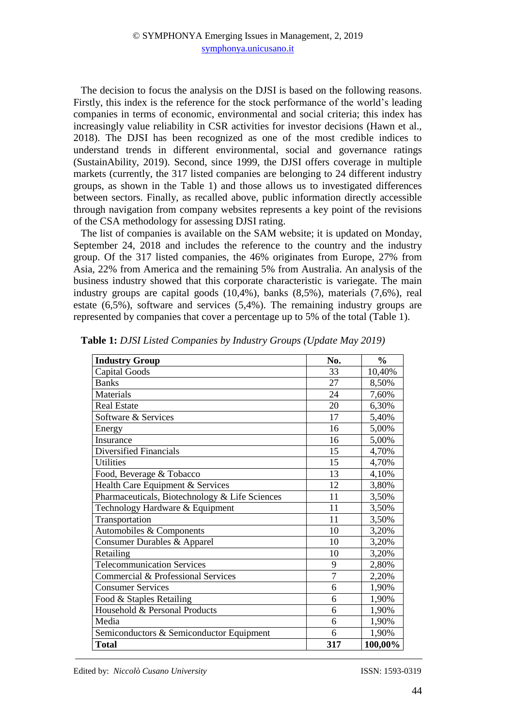The decision to focus the analysis on the DJSI is based on the following reasons. Firstly, this index is the reference for the stock performance of the world's leading companies in terms of economic, environmental and social criteria; this index has increasingly value reliability in CSR activities for investor decisions (Hawn et al., 2018). The DJSI has been recognized as one of the most credible indices to understand trends in different environmental, social and governance ratings (SustainAbility, 2019). Second, since 1999, the DJSI offers coverage in multiple markets (currently, the 317 listed companies are belonging to 24 different industry groups, as shown in the Table 1) and those allows us to investigated differences between sectors. Finally, as recalled above, public information directly accessible through navigation from company websites represents a key point of the revisions of the CSA methodology for assessing DJSI rating.

The list of companies is available on the SAM website; it is updated on Monday, September 24, 2018 and includes the reference to the country and the industry group. Of the 317 listed companies, the 46% originates from Europe, 27% from Asia, 22% from America and the remaining 5% from Australia. An analysis of the business industry showed that this corporate characteristic is variegate. The main industry groups are capital goods (10,4%), banks (8,5%), materials (7,6%), real estate (6,5%), software and services (5,4%). The remaining industry groups are represented by companies that cover a percentage up to 5% of the total (Table 1).

| <b>Industry Group</b>                          | No.            | $\frac{6}{6}$ |
|------------------------------------------------|----------------|---------------|
| Capital Goods                                  | 33             | 10,40%        |
| <b>Banks</b>                                   | 27             | 8,50%         |
| Materials                                      | 24             | 7,60%         |
| <b>Real Estate</b>                             | 20             | 6,30%         |
| Software & Services                            | 17             | 5,40%         |
| Energy                                         | 16             | 5,00%         |
| Insurance                                      | 16             | 5,00%         |
| Diversified Financials                         | 15             | 4,70%         |
| <b>Utilities</b>                               | 15             | 4,70%         |
| Food, Beverage & Tobacco                       | 13             | 4,10%         |
| Health Care Equipment & Services               | 12             | 3,80%         |
| Pharmaceuticals, Biotechnology & Life Sciences | 11             | 3,50%         |
| Technology Hardware & Equipment                | 11             | 3,50%         |
| Transportation                                 | 11             | 3,50%         |
| Automobiles & Components                       | 10             | 3,20%         |
| Consumer Durables & Apparel                    | 10             | 3,20%         |
| Retailing                                      | 10             | 3,20%         |
| <b>Telecommunication Services</b>              | 9              | 2,80%         |
| Commercial & Professional Services             | $\overline{7}$ | 2,20%         |
| <b>Consumer Services</b>                       | 6              | 1,90%         |
| Food & Staples Retailing                       | 6              | 1,90%         |
| Household & Personal Products                  | 6              | 1,90%         |
| Media                                          | 6              | 1,90%         |
| Semiconductors & Semiconductor Equipment       | 6              | 1,90%         |
| <b>Total</b>                                   | 317            | 100,00%       |

**Table 1:** *DJSI Listed Companies by Industry Groups (Update May 2019)*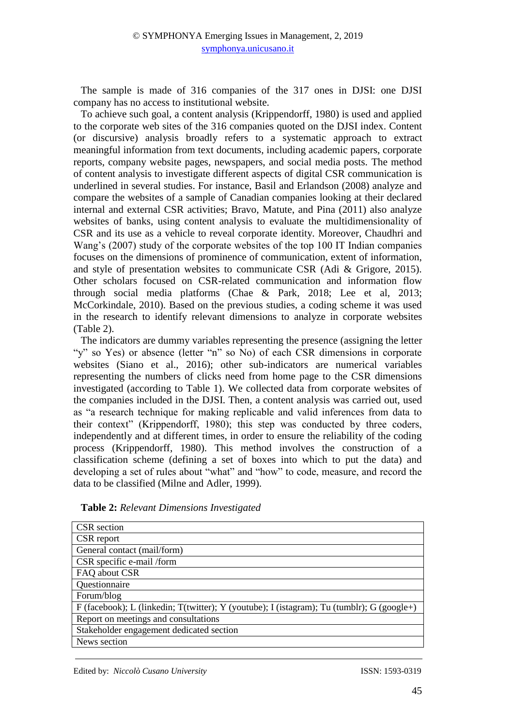The sample is made of 316 companies of the 317 ones in DJSI: one DJSI company has no access to institutional website.

To achieve such goal, a content analysis (Krippendorff, 1980) is used and applied to the corporate web sites of the 316 companies quoted on the DJSI index. Content (or discursive) analysis broadly refers to a systematic approach to extract meaningful information from text documents, including academic papers, corporate reports, company website pages, newspapers, and social media posts. The method of content analysis to investigate different aspects of digital CSR communication is underlined in several studies. For instance, Basil and Erlandson (2008) analyze and compare the websites of a sample of Canadian companies looking at their declared internal and external CSR activities; Bravo, Matute, and Pina (2011) also analyze websites of banks, using content analysis to evaluate the multidimensionality of CSR and its use as a vehicle to reveal corporate identity. Moreover, Chaudhri and Wang's (2007) study of the corporate websites of the top 100 IT Indian companies focuses on the dimensions of prominence of communication, extent of information, and style of presentation websites to communicate CSR (Adi & Grigore, 2015). Other scholars focused on CSR-related communication and information flow through social media platforms (Chae & Park, 2018; Lee et al, 2013; McCorkindale, 2010). Based on the previous studies, a coding scheme it was used in the research to identify relevant dimensions to analyze in corporate websites (Table 2).

The indicators are dummy variables representing the presence (assigning the letter "y" so Yes) or absence (letter "n" so No) of each CSR dimensions in corporate websites (Siano et al., 2016); other sub-indicators are numerical variables representing the numbers of clicks need from home page to the CSR dimensions investigated (according to Table 1). We collected data from corporate websites of the companies included in the DJSI. Then, a content analysis was carried out, used as "a research technique for making replicable and valid inferences from data to their context" (Krippendorff, 1980); this step was conducted by three coders, independently and at different times, in order to ensure the reliability of the coding process (Krippendorff, 1980). This method involves the construction of a classification scheme (defining a set of boxes into which to put the data) and developing a set of rules about "what" and "how" to code, measure, and record the data to be classified (Milne and Adler, 1999).

| Table 2: Relevant Dimensions Investigated |  |  |
|-------------------------------------------|--|--|
|-------------------------------------------|--|--|

| <b>CSR</b> section                                                                         |
|--------------------------------------------------------------------------------------------|
| CSR report                                                                                 |
| General contact (mail/form)                                                                |
| CSR specific e-mail /form                                                                  |
| FAQ about CSR                                                                              |
| Questionnaire                                                                              |
| Forum/blog                                                                                 |
| F (facebook); L (linkedin; T(twitter); Y (youtube); I (istagram); Tu (tumblr); G (google+) |
| Report on meetings and consultations                                                       |
| Stakeholder engagement dedicated section                                                   |
| News section                                                                               |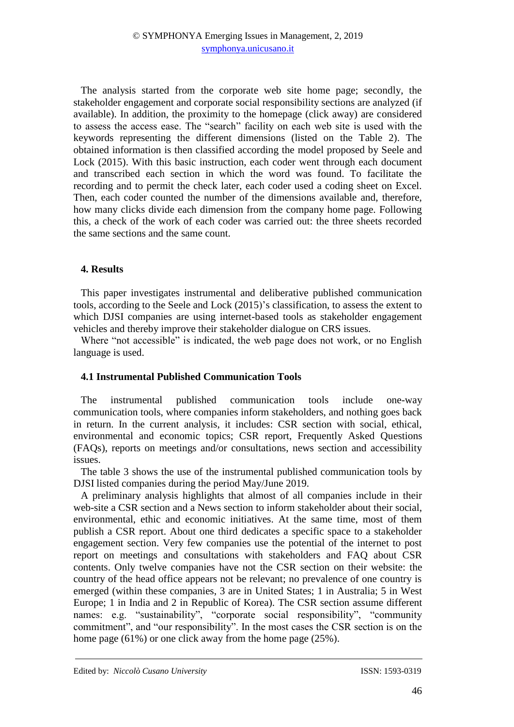The analysis started from the corporate web site home page; secondly, the stakeholder engagement and corporate social responsibility sections are analyzed (if available). In addition, the proximity to the homepage (click away) are considered to assess the access ease. The "search" facility on each web site is used with the keywords representing the different dimensions (listed on the Table 2). The obtained information is then classified according the model proposed by Seele and Lock (2015). With this basic instruction, each coder went through each document and transcribed each section in which the word was found. To facilitate the recording and to permit the check later, each coder used a coding sheet on Excel. Then, each coder counted the number of the dimensions available and, therefore, how many clicks divide each dimension from the company home page. Following this, a check of the work of each coder was carried out: the three sheets recorded the same sections and the same count.

### **4. Results**

This paper investigates instrumental and deliberative published communication tools, according to the Seele and Lock (2015)'s classification, to assess the extent to which DJSI companies are using internet-based tools as stakeholder engagement vehicles and thereby improve their stakeholder dialogue on CRS issues.

Where "not accessible" is indicated, the web page does not work, or no English language is used.

### **4.1 Instrumental Published Communication Tools**

The instrumental published communication tools include one-way communication tools, where companies inform stakeholders, and nothing goes back in return. In the current analysis, it includes: CSR section with social, ethical, environmental and economic topics; CSR report, Frequently Asked Questions (FAQs), reports on meetings and/or consultations, news section and accessibility issues.

The table 3 shows the use of the instrumental published communication tools by DJSI listed companies during the period May/June 2019.

A preliminary analysis highlights that almost of all companies include in their web-site a CSR section and a News section to inform stakeholder about their social, environmental, ethic and economic initiatives. At the same time, most of them publish a CSR report. About one third dedicates a specific space to a stakeholder engagement section. Very few companies use the potential of the internet to post report on meetings and consultations with stakeholders and FAQ about CSR contents. Only twelve companies have not the CSR section on their website: the country of the head office appears not be relevant; no prevalence of one country is emerged (within these companies, 3 are in United States; 1 in Australia; 5 in West Europe; 1 in India and 2 in Republic of Korea). The CSR section assume different names: e.g. "sustainability", "corporate social responsibility", "community commitment", and "our responsibility". In the most cases the CSR section is on the home page (61%) or one click away from the home page (25%).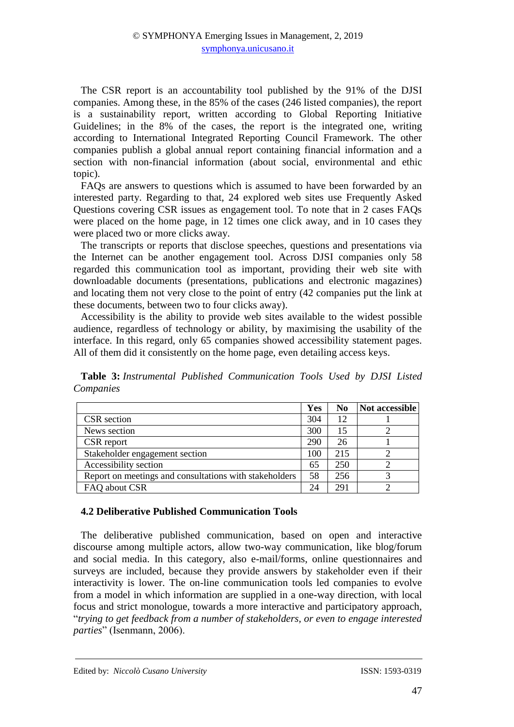The CSR report is an accountability tool published by the 91% of the DJSI companies. Among these, in the 85% of the cases (246 listed companies), the report is a sustainability report, written according to Global Reporting Initiative Guidelines; in the 8% of the cases, the report is the integrated one, writing according to International Integrated Reporting Council Framework. The other companies publish a global annual report containing financial information and a section with non-financial information (about social, environmental and ethic topic).

FAQs are answers to questions which is assumed to have been forwarded by an interested party. Regarding to that, 24 explored web sites use Frequently Asked Questions covering CSR issues as engagement tool. To note that in 2 cases FAQs were placed on the home page, in 12 times one click away, and in 10 cases they were placed two or more clicks away.

The transcripts or reports that disclose speeches, questions and presentations via the Internet can be another engagement tool. Across DJSI companies only 58 regarded this communication tool as important, providing their web site with downloadable documents (presentations, publications and electronic magazines) and locating them not very close to the point of entry (42 companies put the link at these documents, between two to four clicks away).

Accessibility is the ability to provide web sites available to the widest possible audience, regardless of technology or ability, by maximising the usability of the interface. In this regard, only 65 companies showed accessibility statement pages. All of them did it consistently on the home page, even detailing access keys.

**Table 3:** *Instrumental Published Communication Tools Used by DJSI Listed Companies*

|                                                        | <b>Yes</b> | No  | Not accessible |
|--------------------------------------------------------|------------|-----|----------------|
| CSR section                                            | 304        | 12  |                |
| News section                                           | 300        | 15  |                |
| CSR report                                             | 290        | 26  |                |
| Stakeholder engagement section                         | 100        | 215 |                |
| Accessibility section                                  | 65         | 250 |                |
| Report on meetings and consultations with stakeholders | 58         | 256 |                |
| FAQ about CSR                                          | 24         | 291 |                |

### **4.2 Deliberative Published Communication Tools**

The deliberative published communication, based on open and interactive discourse among multiple actors, allow two-way communication, like blog/forum and social media. In this category, also e-mail/forms, online questionnaires and surveys are included, because they provide answers by stakeholder even if their interactivity is lower. The on-line communication tools led companies to evolve from a model in which information are supplied in a one-way direction, with local focus and strict monologue, towards a more interactive and participatory approach, "*trying to get feedback from a number of stakeholders, or even to engage interested parties*" (Isenmann, 2006).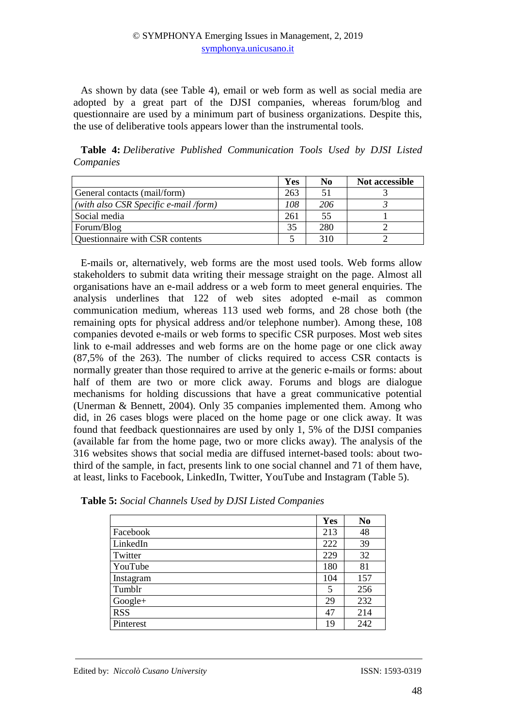As shown by data (see Table 4), email or web form as well as social media are adopted by a great part of the DJSI companies, whereas forum/blog and questionnaire are used by a minimum part of business organizations. Despite this, the use of deliberative tools appears lower than the instrumental tools.

**Table 4:** *Deliberative Published Communication Tools Used by DJSI Listed Companies* 

|                                               | Yes | No  | Not accessible |
|-----------------------------------------------|-----|-----|----------------|
| General contacts (mail/form)                  | 263 | 51  |                |
| $\vert$ (with also CSR Specific e-mail /form) | 108 | 206 |                |
| Social media                                  | 261 | 55  |                |
| Forum/Blog                                    | 35  | 280 |                |
| Questionnaire with CSR contents               |     | 310 |                |

E-mails or, alternatively, web forms are the most used tools. Web forms allow stakeholders to submit data writing their message straight on the page. Almost all organisations have an e-mail address or a web form to meet general enquiries. The analysis underlines that 122 of web sites adopted e-mail as common communication medium, whereas 113 used web forms, and 28 chose both (the remaining opts for physical address and/or telephone number). Among these, 108 companies devoted e-mails or web forms to specific CSR purposes. Most web sites link to e-mail addresses and web forms are on the home page or one click away (87,5% of the 263). The number of clicks required to access CSR contacts is normally greater than those required to arrive at the generic e-mails or forms: about half of them are two or more click away. Forums and blogs are dialogue mechanisms for holding discussions that have a great communicative potential (Unerman & Bennett, 2004). Only 35 companies implemented them. Among who did, in 26 cases blogs were placed on the home page or one click away. It was found that feedback questionnaires are used by only 1, 5% of the DJSI companies (available far from the home page, two or more clicks away). The analysis of the 316 websites shows that social media are diffused internet-based tools: about twothird of the sample, in fact, presents link to one social channel and 71 of them have, at least, links to Facebook, LinkedIn, Twitter, YouTube and Instagram (Table 5).

|            | Yes | N <sub>0</sub> |
|------------|-----|----------------|
| Facebook   | 213 | 48             |
| LinkedIn   | 222 | 39             |
| Twitter    | 229 | 32             |
| YouTube    | 180 | 81             |
| Instagram  | 104 | 157            |
| Tumblr     | 5   | 256            |
| Google+    | 29  | 232            |
| <b>RSS</b> | 47  | 214            |
| Pinterest  | 19  | 242            |

**Table 5:** *Social Channels Used by DJSI Listed Companies*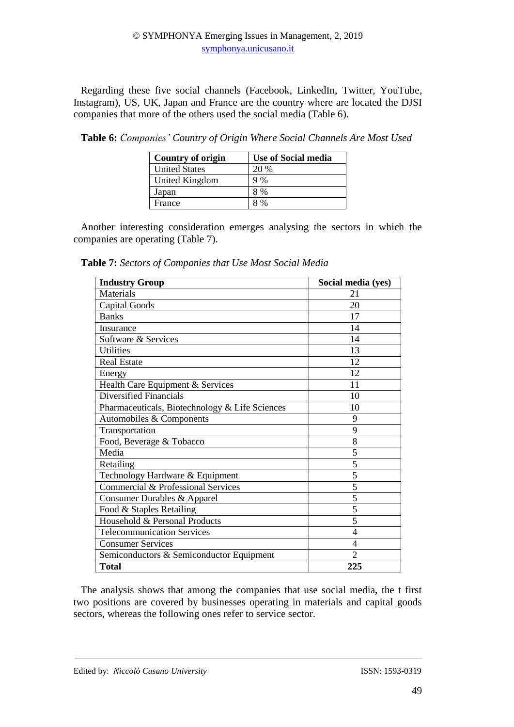Regarding these five social channels (Facebook, LinkedIn, Twitter, YouTube, Instagram), US, UK, Japan and France are the country where are located the DJSI companies that more of the others used the social media (Table 6).

**Table 6:** *Companies' Country of Origin Where Social Channels Are Most Used* 

| Country of origin    | <b>Use of Social media</b> |
|----------------------|----------------------------|
| <b>United States</b> | 20 %                       |
| United Kingdom       | 9%                         |
| Japan                | 8 %                        |
| France               | 8%                         |

Another interesting consideration emerges analysing the sectors in which the companies are operating (Table 7).

**Table 7:** *Sectors of Companies that Use Most Social Media*

| <b>Industry Group</b>                          | Social media (yes) |
|------------------------------------------------|--------------------|
| Materials                                      | 21                 |
| <b>Capital Goods</b>                           | 20                 |
| <b>Banks</b>                                   | 17                 |
| Insurance                                      | 14                 |
| Software & Services                            | 14                 |
| <b>Utilities</b>                               | 13                 |
| <b>Real Estate</b>                             | 12                 |
| Energy                                         | 12                 |
| Health Care Equipment & Services               | 11                 |
| Diversified Financials                         | 10                 |
| Pharmaceuticals, Biotechnology & Life Sciences | 10                 |
| Automobiles & Components                       | 9                  |
| Transportation                                 | 9                  |
| Food, Beverage & Tobacco                       | 8                  |
| Media                                          | 5                  |
| Retailing                                      | $\overline{5}$     |
| Technology Hardware & Equipment                | 5                  |
| Commercial & Professional Services             | 5                  |
| Consumer Durables & Apparel                    | 5                  |
| Food & Staples Retailing                       | 5                  |
| Household & Personal Products                  | 5                  |
| <b>Telecommunication Services</b>              | 4                  |
| <b>Consumer Services</b>                       | 4                  |
| Semiconductors & Semiconductor Equipment       | $\overline{2}$     |
| <b>Total</b>                                   | 225                |

The analysis shows that among the companies that use social media, the t first two positions are covered by businesses operating in materials and capital goods sectors, whereas the following ones refer to service sector.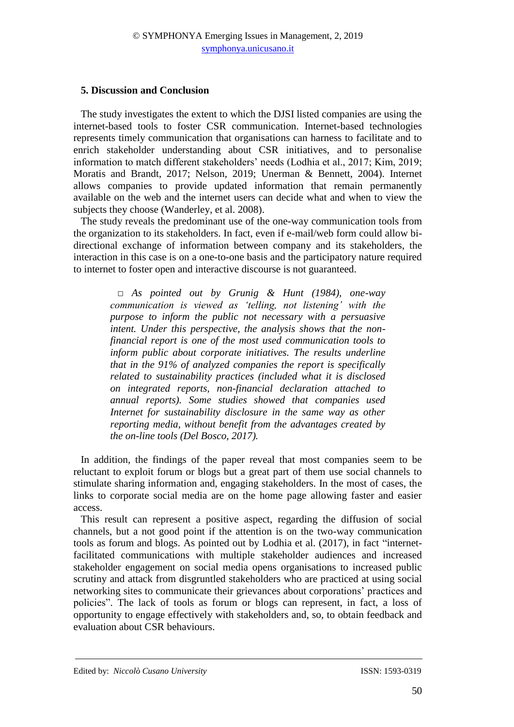#### **5. Discussion and Conclusion**

The study investigates the extent to which the DJSI listed companies are using the internet-based tools to foster CSR communication. Internet-based technologies represents timely communication that organisations can harness to facilitate and to enrich stakeholder understanding about CSR initiatives, and to personalise information to match different stakeholders' needs (Lodhia et al., 2017; Kim, 2019; Moratis and Brandt, 2017; Nelson, 2019; Unerman & Bennett, 2004). Internet allows companies to provide updated information that remain permanently available on the web and the internet users can decide what and when to view the subjects they choose (Wanderley, et al. 2008).

The study reveals the predominant use of the one-way communication tools from the organization to its stakeholders. In fact, even if e-mail/web form could allow bidirectional exchange of information between company and its stakeholders, the interaction in this case is on a one-to-one basis and the participatory nature required to internet to foster open and interactive discourse is not guaranteed.

*□ As pointed out by Grunig & Hunt (1984), one-way communication is viewed as 'telling, not listening' with the purpose to inform the public not necessary with a persuasive intent. Under this perspective, the analysis shows that the nonfinancial report is one of the most used communication tools to inform public about corporate initiatives. The results underline that in the 91% of analyzed companies the report is specifically related to sustainability practices (included what it is disclosed on integrated reports, non-financial declaration attached to annual reports). Some studies showed that companies used Internet for sustainability disclosure in the same way as other reporting media, without benefit from the advantages created by the on-line tools (Del Bosco, 2017).*

In addition, the findings of the paper reveal that most companies seem to be reluctant to exploit forum or blogs but a great part of them use social channels to stimulate sharing information and, engaging stakeholders. In the most of cases, the links to corporate social media are on the home page allowing faster and easier access.

This result can represent a positive aspect, regarding the diffusion of social channels, but a not good point if the attention is on the two-way communication tools as forum and blogs. As pointed out by Lodhia et al. (2017), in fact "internetfacilitated communications with multiple stakeholder audiences and increased stakeholder engagement on social media opens organisations to increased public scrutiny and attack from disgruntled stakeholders who are practiced at using social networking sites to communicate their grievances about corporations' practices and policies". The lack of tools as forum or blogs can represent, in fact, a loss of opportunity to engage effectively with stakeholders and, so, to obtain feedback and evaluation about CSR behaviours.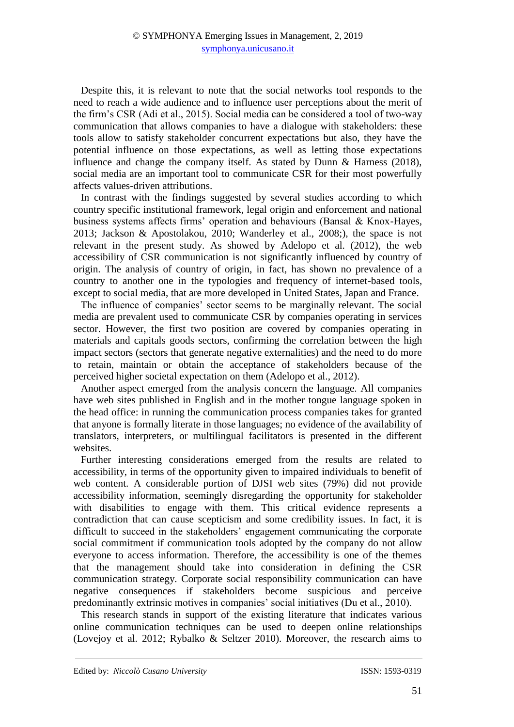Despite this, it is relevant to note that the social networks tool responds to the need to reach a wide audience and to influence user perceptions about the merit of the firm's CSR (Adi et al., 2015). Social media can be considered a tool of two-way communication that allows companies to have a dialogue with stakeholders: these tools allow to satisfy stakeholder concurrent expectations but also, they have the potential influence on those expectations, as well as letting those expectations influence and change the company itself. As stated by Dunn & Harness (2018), social media are an important tool to communicate CSR for their most powerfully affects values-driven attributions.

In contrast with the findings suggested by several studies according to which country specific institutional framework, legal origin and enforcement and national business systems affects firms' operation and behaviours (Bansal & Knox-Hayes, 2013; Jackson & Apostolakou, 2010; Wanderley et al., 2008;), the space is not relevant in the present study. As showed by Adelopo et al. (2012), the web accessibility of CSR communication is not significantly influenced by country of origin. The analysis of country of origin, in fact, has shown no prevalence of a country to another one in the typologies and frequency of internet-based tools, except to social media, that are more developed in United States, Japan and France.

The influence of companies' sector seems to be marginally relevant. The social media are prevalent used to communicate CSR by companies operating in services sector. However, the first two position are covered by companies operating in materials and capitals goods sectors, confirming the correlation between the high impact sectors (sectors that generate negative externalities) and the need to do more to retain, maintain or obtain the acceptance of stakeholders because of the perceived higher societal expectation on them (Adelopo et al., 2012).

Another aspect emerged from the analysis concern the language. All companies have web sites published in English and in the mother tongue language spoken in the head office: in running the communication process companies takes for granted that anyone is formally literate in those languages; no evidence of the availability of translators, interpreters, or multilingual facilitators is presented in the different websites.

Further interesting considerations emerged from the results are related to accessibility, in terms of the opportunity given to impaired individuals to benefit of web content. A considerable portion of DJSI web sites (79%) did not provide accessibility information, seemingly disregarding the opportunity for stakeholder with disabilities to engage with them. This critical evidence represents a contradiction that can cause scepticism and some credibility issues. In fact, it is difficult to succeed in the stakeholders' engagement communicating the corporate social commitment if communication tools adopted by the company do not allow everyone to access information. Therefore, the accessibility is one of the themes that the management should take into consideration in defining the CSR communication strategy. Corporate social responsibility communication can have negative consequences if stakeholders become suspicious and perceive predominantly extrinsic motives in companies' social initiatives (Du et al., 2010).

This research stands in support of the existing literature that indicates various online communication techniques can be used to deepen online relationships (Lovejoy et al. 2012; Rybalko & Seltzer 2010). Moreover, the research aims to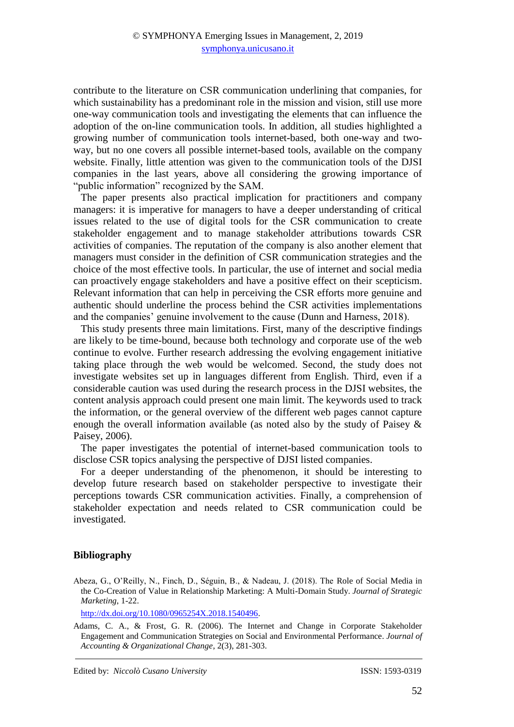contribute to the literature on CSR communication underlining that companies, for which sustainability has a predominant role in the mission and vision, still use more one-way communication tools and investigating the elements that can influence the adoption of the on-line communication tools. In addition, all studies highlighted a growing number of communication tools internet-based, both one-way and twoway, but no one covers all possible internet-based tools, available on the company website. Finally, little attention was given to the communication tools of the DJSI companies in the last years, above all considering the growing importance of "public information" recognized by the SAM.

The paper presents also practical implication for practitioners and company managers: it is imperative for managers to have a deeper understanding of critical issues related to the use of digital tools for the CSR communication to create stakeholder engagement and to manage stakeholder attributions towards CSR activities of companies. The reputation of the company is also another element that managers must consider in the definition of CSR communication strategies and the choice of the most effective tools. In particular, the use of internet and social media can proactively engage stakeholders and have a positive effect on their scepticism. Relevant information that can help in perceiving the CSR efforts more genuine and authentic should underline the process behind the CSR activities implementations and the companies' genuine involvement to the cause (Dunn and Harness, 2018).

This study presents three main limitations. First, many of the descriptive findings are likely to be time-bound, because both technology and corporate use of the web continue to evolve. Further research addressing the evolving engagement initiative taking place through the web would be welcomed. Second, the study does not investigate websites set up in languages different from English. Third, even if a considerable caution was used during the research process in the DJSI websites, the content analysis approach could present one main limit. The keywords used to track the information, or the general overview of the different web pages cannot capture enough the overall information available (as noted also by the study of Paisey  $\&$ Paisey, 2006).

The paper investigates the potential of internet-based communication tools to disclose CSR topics analysing the perspective of DJSI listed companies.

For a deeper understanding of the phenomenon, it should be interesting to develop future research based on stakeholder perspective to investigate their perceptions towards CSR communication activities. Finally, a comprehension of stakeholder expectation and needs related to CSR communication could be investigated.

### **Bibliography**

Abeza, G., O'Reilly, N., Finch, D., Séguin, B., & Nadeau, J. (2018). The Role of Social Media in the Co-Creation of Value in Relationship Marketing: A Multi-Domain Study. *Journal of Strategic Marketing*, 1-22.

[http://dx.doi.org/10.1080/0965254X.2018.1540496.](https://doi.org/10.1080/0965254X.2018.1540496)

Adams, C. A., & Frost, G. R. (2006). The Internet and Change in Corporate Stakeholder Engagement and Communication Strategies on Social and Environmental Performance. *Journal of Accounting & Organizational Change*, 2(3), 281-303.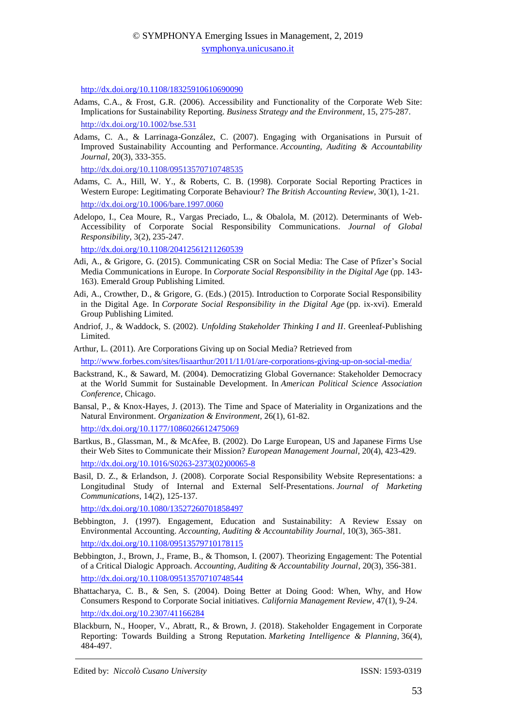<http://dx.doi.org/10.1108/18325910610690090>

- Adams, C.A., & Frost, G.R. (2006). Accessibility and Functionality of the Corporate Web Site: Implications for Sustainability Reporting. *Business Strategy and the Environment*, 15, 275-287. http://dx.doi.org/10.1002/bse.531
- Adams, C. A., & Larrinaga-González, C. (2007). Engaging with Organisations in Pursuit of Improved Sustainability Accounting and Performance. *Accounting, Auditing & Accountability Journal*, 20(3), 333-355.

[http://dx.doi.org/10.1108/09513570710748535](https://doi.org/10.1108/09513570710748535)

- Adams, C. A., Hill, W. Y., & Roberts, C. B. (1998). Corporate Social Reporting Practices in Western Europe: Legitimating Corporate Behaviour? *The British Accounting Review*, 30(1), 1-21. [http://dx.doi.org/10.1006/bare.1997.0060](https://doi.org/10.1006/bare.1997.0060)
- Adelopo, I., Cea Moure, R., Vargas Preciado, L., & Obalola, M. (2012). Determinants of Web-Accessibility of Corporate Social Responsibility Communications. *Journal of Global Responsibility*, 3(2), 235-247.

[http://dx.doi.org/10.1108/20412561211260539](https://doi.org/10.1108/20412561211260539)

- Adi, A., & Grigore, G. (2015). Communicating CSR on Social Media: The Case of Pfizer's Social Media Communications in Europe. In *Corporate Social Responsibility in the Digital Age* (pp. 143- 163). Emerald Group Publishing Limited.
- Adi, A., Crowther, D., & Grigore, G. (Eds.) (2015). Introduction to Corporate Social Responsibility in the Digital Age. In *Corporate Social Responsibility in the Digital Age* (pp. ix-xvi). Emerald Group Publishing Limited.
- Andriof, J., & Waddock, S. (2002). *Unfolding Stakeholder Thinking I and II*. Greenleaf-Publishing Limited.
- Arthur, L. (2011). Are Corporations Giving up on Social Media? Retrieved from

<http://www.forbes.com/sites/lisaarthur/2011/11/01/are-corporations-giving-up-on-social-media/>

- Backstrand, K., & Saward, M. (2004). Democratizing Global Governance: Stakeholder Democracy at the World Summit for Sustainable Development. In *American Political Science Association Conference*, Chicago.
- Bansal, P., & Knox-Hayes, J. (2013). The Time and Space of Materiality in Organizations and the Natural Environment. *Organization & Environment*, 26(1), 61-82.

[http://dx.doi.org/10.1177/1086026612475069](https://doi.org/10.1177/1086026612475069)

- Bartkus, B., Glassman, M., & McAfee, B. (2002). Do Large European, US and Japanese Firms Use their Web Sites to Communicate their Mission? *European Management Journal*, 20(4), 423-429. [http://dx.doi.org/10.1016/S0263-2373\(02\)00065-8](https://doi.org/10.1016/S0263-2373(02)00065-8)
- Basil, D. Z., & Erlandson, J. (2008). Corporate Social Responsibility Website Representations: a Longitudinal Study of Internal and External Self‐Presentations. *Journal of Marketing Communications*, 14(2), 125-137.

[http://dx.doi.org/10.1080/13527260701858497](https://doi.org/10.1080/13527260701858497)

- Bebbington, J. (1997). Engagement, Education and Sustainability: A Review Essay on Environmental Accounting. *Accounting, Auditing & Accountability Journal*, 10(3), 365-381. <http://dx.doi.org/10.1108/09513579710178115>
- Bebbington, J., Brown, J., Frame, B., & Thomson, I. (2007). Theorizing Engagement: The Potential of a Critical Dialogic Approach. *Accounting, Auditing & Accountability Journal*, 20(3), 356-381. [http://dx.doi.org/10.1108/09513570710748544](https://doi.org/10.1108/09513570710748544)
- Bhattacharya, C. B., & Sen, S. (2004). Doing Better at Doing Good: When, Why, and How Consumers Respond to Corporate Social initiatives. *California Management Review*, 47(1), 9-24. [http://dx.doi.org/10.2307/41166284](https://doi.org/10.2307/41166284)
- Blackburn, N., Hooper, V., Abratt, R., & Brown, J. (2018). Stakeholder Engagement in Corporate Reporting: Towards Building a Strong Reputation. *Marketing Intelligence & Planning*, 36(4), 484-497.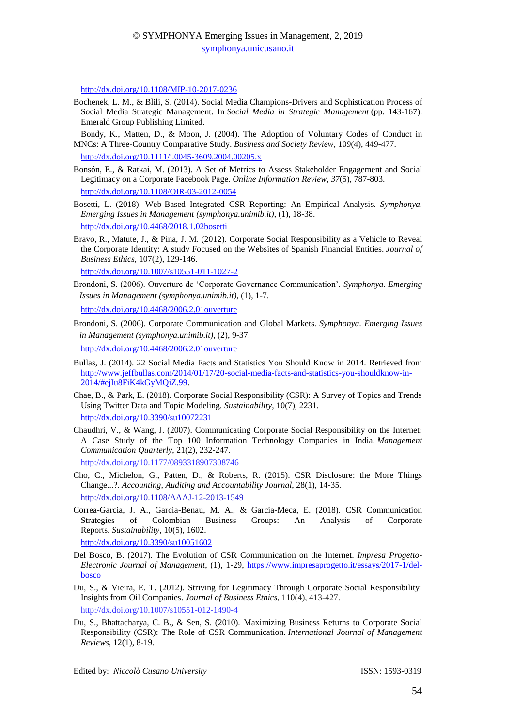[http://dx.doi.org/10.1108/MIP-10-2017-0236](https://doi.org/10.1108/MIP-10-2017-0236)

- Bochenek, L. M., & Blili, S. (2014). Social Media Champions-Drivers and Sophistication Process of Social Media Strategic Management. In *Social Media in Strategic Management* (pp. 143-167). Emerald Group Publishing Limited.
- Bondy, K., Matten, D., & Moon, J. (2004). The Adoption of Voluntary Codes of Conduct in MNCs: A Three‐Country Comparative Study. *Business and Society Review*, 109(4), 449-477.

[http://dx.doi.org/10.1111/j.0045-3609.2004.00205.x](https://doi.org/10.1111/j.0045-3609.2004.00205.x)

- Bonsón, E., & Ratkai, M. (2013). A Set of Metrics to Assess Stakeholder Engagement and Social Legitimacy on a Corporate Facebook Page. *Online Information Review*, *37*(5), 787-803. [http://dx.doi.org/10.1108/OIR-03-2012-0054](https://doi.org/10.1108/OIR-03-2012-0054)
- Bosetti, L. (2018). Web-Based Integrated CSR Reporting: An Empirical Analysis. *Symphonya. Emerging Issues in Management (symphonya.unimib.it)*, (1), 18-38.

```
http://dx.doi.org/10.4468/2018.1.02bosetti
```
Bravo, R., Matute, J., & Pina, J. M. (2012). Corporate Social Responsibility as a Vehicle to Reveal the Corporate Identity: A study Focused on the Websites of Spanish Financial Entities. *Journal of Business Ethics*, 107(2), 129-146.

[http://dx.doi.org/10.1007/s10551-011-1027-2](https://doi.org/10.1007/s10551-011-1027-2)

Brondoni, S. (2006). Ouverture de 'Corporate Governance Communication'. *Symphonya. Emerging Issues in Management (symphonya.unimib.it)*, (1), 1-7.

<http://dx.doi.org/10.4468/2006.2.01ouverture>

Brondoni, S. (2006). Corporate Communication and Global Markets. *Symphonya. Emerging Issues in Management (symphonya.unimib.it)*, (2), 9-37. http://dx.doi.org/10.4468/2006.2.01ouverture

- Bullas, J. (2014). 22 Social Media Facts and Statistics You Should Know in 2014. Retrieved from [http://www.jeffbullas.com/2014/01/17/20-social-media-facts-and-statistics-you-shouldknow-in-](http://www.jeffbullas.com/2014/01/17/20-social-media-facts-and-statistics-you-shouldknow-in-2014/#ejIu8FiK4kGyMQiZ.99)[2014/#ejIu8FiK4kGyMQiZ.99.](http://www.jeffbullas.com/2014/01/17/20-social-media-facts-and-statistics-you-shouldknow-in-2014/#ejIu8FiK4kGyMQiZ.99)
- Chae, B., & Park, E. (2018). Corporate Social Responsibility (CSR): A Survey of Topics and Trends Using Twitter Data and Topic Modeling. *Sustainability*, 10(7), 2231. [http://dx.doi.org/10.3390/su10072231](https://doi.org/10.3390/su10072231)
- Chaudhri, V., & Wang, J. (2007). Communicating Corporate Social Responsibility on the Internet: A Case Study of the Top 100 Information Technology Companies in India. *Management Communication Quarterly*, 21(2), 232-247. [http://dx.doi.org/10.1177/0893318907308746](https://doi.org/10.1177%2F0893318907308746)
- Cho, C., Michelon, G., Patten, D., & Roberts, R. (2015). CSR Disclosure: the More Things Change...?. *Accounting, Auditing and Accountability Journal*, 28(1), 14-35.

[http://dx.doi.org/10.1108/AAAJ-12-2013-1549](https://doi.org/10.1108/AAAJ-12-2013-1549)

Correa-Garcia, J. A., Garcia-Benau, M. A., & Garcia-Meca, E. (2018). CSR Communication Strategies of Colombian Business Groups: An Analysis of Corporate Reports. *Sustainability*, 10(5), 1602.

[http://dx.doi.org/10.3390/su10051602](https://doi.org/10.3390/su10051602)

- Del Bosco, B. (2017). The Evolution of CSR Communication on the Internet. *Impresa Progetto-Electronic Journal of Management*, (1), 1-29, [https://www.impresaprogetto.it/essays/2017-1/del](https://www.impresaprogetto.it/essays/2017-1/del-bosco)[bosco](https://www.impresaprogetto.it/essays/2017-1/del-bosco)
- Du, S., & Vieira, E. T. (2012). Striving for Legitimacy Through Corporate Social Responsibility: Insights from Oil Companies. *Journal of Business Ethics*, 110(4), 413-427. http://dx.doi.org/10.1007/s10551-012-1490-4
- Du, S., Bhattacharya, C. B., & Sen, S. (2010). Maximizing Business Returns to Corporate Social Responsibility (CSR): The Role of CSR Communication. *International Journal of Management Reviews*, 12(1), 8-19.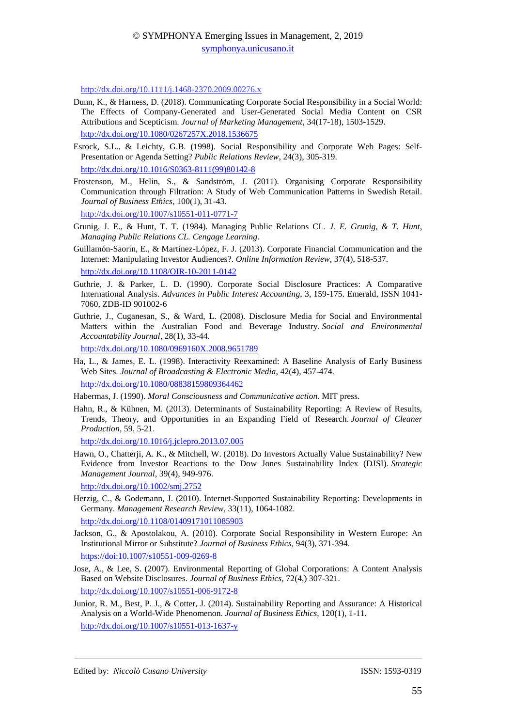[http://dx.doi.org/10.1111/j.1468-2370.2009.00276.x](https://doi.org/10.1111/j.1468-2370.2009.00276.x)

- Dunn, K., & Harness, D. (2018). Communicating Corporate Social Responsibility in a Social World: The Effects of Company-Generated and User-Generated Social Media Content on CSR Attributions and Scepticism. *Journal of Marketing Management*, 34(17-18), 1503-1529. [http://dx.doi.org/10.1080/0267257X.2018.1536675](https://doi.org/10.1080/0267257X.2018.1536675)
- Esrock, S.L., & Leichty, G.B. (1998). Social Responsibility and Corporate Web Pages: Self-Presentation or Agenda Setting? *Public Relations Review*, 24(3), 305-319. [http://dx.doi.org/10.1016/S0363-8111\(99\)80142-8](https://doi.org/10.1016/S0363-8111(99)80142-8)
- Frostenson, M., Helin, S., & Sandström, J. (2011). Organising Corporate Responsibility Communication through Filtration: A Study of Web Communication Patterns in Swedish Retail. *Journal of Business Ethics*, 100(1), 31-43.

http://dx.doi.org/10.1007/s10551-011-0771-7

- Grunig, J. E., & Hunt, T. T. (1984). Managing Public Relations CL. *J. E. Grunig, & T. Hunt, Managing Public Relations CL. Cengage Learning*.
- Guillamón-Saorín, E., & Martínez-López, F. J. (2013). Corporate Financial Communication and the Internet: Manipulating Investor Audiences?. *Online Information Review*, 37(4), 518-537.
- [http://dx.doi.org/10.1108/OIR-10-2011-0142](https://doi.org/10.1108/OIR-10-2011-0142)
- Guthrie, J. & Parker, L. D. (1990). Corporate Social Disclosure Practices: A Comparative International Analysis. *Advances in Public Interest Accounting*, 3, 159-175. Emerald, ISSN 1041- 7060, ZDB-ID 901002-6
- Guthrie, J., Cuganesan, S., & Ward, L. (2008). Disclosure Media for Social and Environmental Matters within the Australian Food and Beverage Industry. *Social and Environmental Accountability Journal*, 28(1), 33-44. [http://dx.doi.org/10.1080/0969160X.2008.9651789](https://doi.org/10.1080/0969160X.2008.9651789)
- Ha, L., & James, E. L. (1998). Interactivity Reexamined: A Baseline Analysis of Early Business Web Sites. *Journal of Broadcasting & Electronic Media*, 42(4), 457-474. [http://dx.doi.org/10.1080/08838159809364462](https://doi.org/10.1080/08838159809364462)

Habermas, J. (1990). *Moral Consciousness and Communicative action*. MIT press.

Hahn, R., & Kühnen, M. (2013). Determinants of Sustainability Reporting: A Review of Results, Trends, Theory, and Opportunities in an Expanding Field of Research. *Journal of Cleaner Production*, 59, 5-21.

[http://dx.doi.org/10.1016/j.jclepro.2013.07.005](https://doi.org/10.1016/j.jclepro.2013.07.005)

Hawn, O., Chatterji, A. K., & Mitchell, W. (2018). Do Investors Actually Value Sustainability? New Evidence from Investor Reactions to the Dow Jones Sustainability Index (DJSI). *Strategic Management Journal*, 39(4), 949-976.

[http://dx.doi.org/10.1002/smj.2752](https://doi.org/10.1002/smj.2752)

- Herzig, C., & Godemann, J. (2010). Internet-Supported Sustainability Reporting: Developments in Germany. *Management Research Review*, 33(11), 1064-1082. [http://dx.doi.org/10.1108/01409171011085903](https://doi.org/10.1108/01409171011085903)
- Jackson, G., & Apostolakou, A. (2010). Corporate Social Responsibility in Western Europe: An Institutional Mirror or Substitute? *Journal of Business Ethics*, 94(3), 371-394.
- <https://doi:10.1007/s10551-009-0269-8>
- Jose, A., & Lee, S. (2007). Environmental Reporting of Global Corporations: A Content Analysis Based on Website Disclosures. *Journal of Business Ethics*, 72(4,) 307-321. http://dx.doi.org/10.1007/s10551-006-9172-8
- Junior, R. M., Best, P. J., & Cotter, J. (2014). Sustainability Reporting and Assurance: A Historical Analysis on a World-Wide Phenomenon. *Journal of Business Ethics*, 120(1), 1-11. [http://dx.doi.org/10.1007/s10551-013-1637-y](https://doi.org/10.1007/s10551-013-1637-y)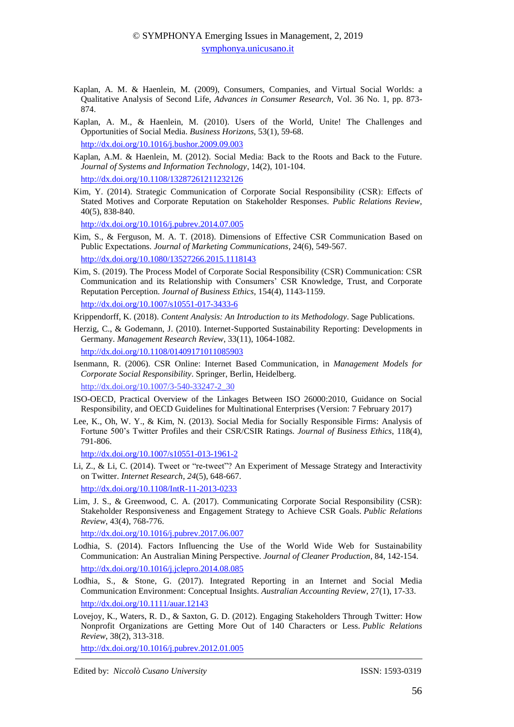- Kaplan, A. M. & Haenlein, M. (2009), Consumers, Companies, and Virtual Social Worlds: a Qualitative Analysis of Second Life, *Advances in Consumer Research*, Vol. 36 No. 1, pp. 873- 874.
- Kaplan, A. M., & Haenlein, M. (2010). Users of the World, Unite! The Challenges and Opportunities of Social Media. *Business Horizons*, 53(1), 59-68. [http://dx.doi.org/10.1016/j.bushor.2009.09.003](https://doi.org/10.1016/j.bushor.2009.09.003)
- Kaplan, A.M. & Haenlein, M. (2012). Social Media: Back to the Roots and Back to the Future. *Journal of Systems and Information Technology*, 14(2), 101-104. [http://dx.doi.org/10.1108/13287261211232126](https://doi.org/10.1108/13287261211232126)
- Kim, Y. (2014). Strategic Communication of Corporate Social Responsibility (CSR): Effects of Stated Motives and Corporate Reputation on Stakeholder Responses. *Public Relations Review*, 40(5), 838-840.

[http://dx.doi.org/10.1016/j.pubrev.2014.07.005](https://doi.org/10.1016/j.pubrev.2014.07.005)

- Kim, S., & Ferguson, M. A. T. (2018). Dimensions of Effective CSR Communication Based on Public Expectations. *Journal of Marketing Communications*, 24(6), 549-567. [http://dx.doi.org/10.1080/13527266.2015.1118143](https://doi.org/10.1080/13527266.2015.1118143)
- Kim, S. (2019). The Process Model of Corporate Social Responsibility (CSR) Communication: CSR Communication and its Relationship with Consumers' CSR Knowledge, Trust, and Corporate Reputation Perception. *Journal of Business Ethics*, 154(4), 1143-1159. [http://dx.doi.org/10.1007/s10551-017-3433-6](https://doi.org/10.1007/s10551-017-3433-6)

Krippendorff, K. (2018). *Content Analysis: An Introduction to its Methodology*. Sage Publications.

- Herzig, C., & Godemann, J. (2010). Internet-Supported Sustainability Reporting: Developments in Germany. *Management Research Review*, 33(11), 1064-1082. [http://dx.doi.org/10.1108/01409171011085903](https://doi.org/10.1108/01409171011085903)
- Isenmann, R. (2006). CSR Online: Internet Based Communication, in *Management Models for Corporate Social Responsibility*. Springer, Berlin, Heidelberg. http://dx.doi.org/10.1007/3-540-33247-2\_30
- ISO-OECD, Practical Overview of the Linkages Between ISO 26000:2010, Guidance on Social Responsibility, and OECD Guidelines for Multinational Enterprises (Version: 7 February 2017)
- Lee, K., Oh, W. Y., & Kim, N. (2013). Social Media for Socially Responsible Firms: Analysis of Fortune 500's Twitter Profiles and their CSR/CSIR Ratings. *Journal of Business Ethics*, 118(4), 791-806.

[http://dx.doi.org/10.1007/s10551-013-1961-2](https://doi.org/10.1007/s10551-013-1961-2)

Li, Z., & Li, C. (2014). Tweet or "re-tweet"? An Experiment of Message Strategy and Interactivity on Twitter. *Internet Research*, *24*(5), 648-667.

[http://dx.doi.org/10.1108/IntR-11-2013-0233](https://doi.org/10.1108/IntR-11-2013-0233)

Lim, J. S., & Greenwood, C. A. (2017). Communicating Corporate Social Responsibility (CSR): Stakeholder Responsiveness and Engagement Strategy to Achieve CSR Goals. *Public Relations Review*, 43(4), 768-776.

[http://dx.doi.org/10.1016/j.pubrev.2017.06.007](https://doi.org/10.1016/j.pubrev.2017.06.007)

- Lodhia, S. (2014). Factors Influencing the Use of the World Wide Web for Sustainability Communication: An Australian Mining Perspective. *Journal of Cleaner Production*, 84, 142-154. [http://dx.doi.org/10.1016/j.jclepro.2014.08.085](https://doi.org/10.1016/j.jclepro.2014.08.085)
- Lodhia, S., & Stone, G. (2017). Integrated Reporting in an Internet and Social Media Communication Environment: Conceptual Insights. *Australian Accounting Review*, 27(1), 17-33. [http://dx.doi.org/10.1111/auar.12143](https://doi.org/10.1111/auar.12143)
- Lovejoy, K., Waters, R. D., & Saxton, G. D. (2012). Engaging Stakeholders Through Twitter: How Nonprofit Organizations are Getting More Out of 140 Characters or Less. *Public Relations Review*, 38(2), 313-318.

[http://dx.doi.org/10.1016/j.pubrev.2012.01.005](https://doi.org/10.1016/j.pubrev.2012.01.005)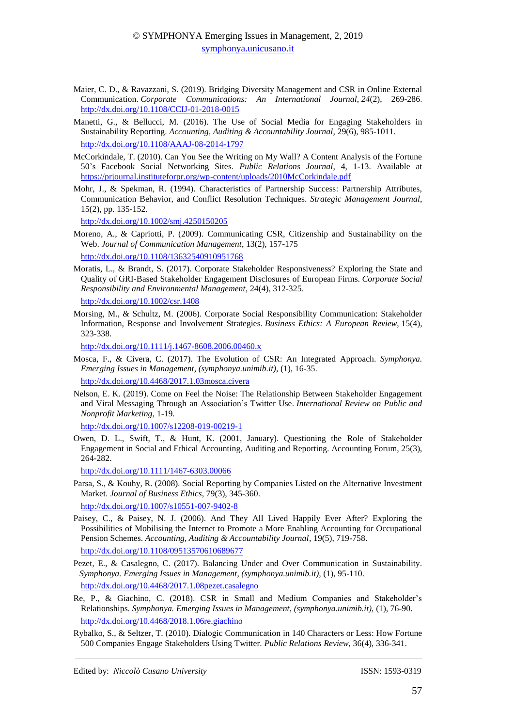- Maier, C. D., & Ravazzani, S. (2019). Bridging Diversity Management and CSR in Online External Communication. *Corporate Communications: An International Journal*, *24*(2), 269-286. [http://dx.doi.org/10.1108/CCIJ-01-2018-0015](https://doi.org/10.1108/CCIJ-01-2018-0015)
- Manetti, G., & Bellucci, M. (2016). The Use of Social Media for Engaging Stakeholders in Sustainability Reporting. *Accounting, Auditing & Accountability Journal*, 29(6), 985-1011. [http://dx.doi.org/10.1108/AAAJ-08-2014-1797](https://doi.org/10.1108/AAAJ-08-2014-1797)
- McCorkindale, T. (2010). Can You See the Writing on My Wall? A Content Analysis of the Fortune 50's Facebook Social Networking Sites. *Public Relations Journal*, 4, 1-13. Available at <https://prjournal.instituteforpr.org/wp-content/uploads/2010McCorkindale.pdf>
- Mohr, J., & Spekman, R. (1994). Characteristics of Partnership Success: Partnership Attributes, Communication Behavior, and Conflict Resolution Techniques. *Strategic Management Journal*, 15(2), pp. 135-152.

[http://dx.doi.org/10.1002/smj.4250150205](https://doi.org/10.1002/smj.4250150205)

Moreno, A., & Capriotti, P. (2009). Communicating CSR, Citizenship and Sustainability on the Web. *Journal of Communication Management*, 13(2), 157-175

[http://dx.doi.org/10.1108/13632540910951768](https://doi.org/10.1108/13632540910951768)

Moratis, L., & Brandt, S. (2017). Corporate Stakeholder Responsiveness? Exploring the State and Quality of GRI‐Based Stakeholder Engagement Disclosures of European Firms. *Corporate Social Responsibility and Environmental Management*, 24(4), 312-325.

[http://dx.doi.org/10.1002/csr.1408](https://doi.org/10.1002/csr.1408)

Morsing, M., & Schultz, M. (2006). Corporate Social Responsibility Communication: Stakeholder Information, Response and Involvement Strategies. *Business Ethics: A European Review*, 15(4), 323-338.

[http://dx.doi.org/10.1111/j.1467-8608.2006.00460.x](https://doi.org/10.1111/j.1467-8608.2006.00460.x)

- Mosca, F., & Civera, C. (2017). The Evolution of CSR: An Integrated Approach. *Symphonya. Emerging Issues in Management*, *(symphonya.unimib.it)*, (1), 16-35. <http://dx.doi.org/10.4468/2017.1.03mosca.civera>
- Nelson, E. K. (2019). Come on Feel the Noise: The Relationship Between Stakeholder Engagement and Viral Messaging Through an Association's Twitter Use. *International Review on Public and Nonprofit Marketing*, 1-19.

[http://dx.doi.org/10.1007/s12208-019-00219-1](https://doi.org/10.1007/s12208-019-00219-1)

Owen, D. L., Swift, T., & Hunt, K. (2001, January). Questioning the Role of Stakeholder Engagement in Social and Ethical Accounting, Auditing and Reporting. Accounting Forum, 25(3), 264-282.

[http://dx.doi.org/10.1111/1467-6303.00066](https://doi.org/10.1111/1467-6303.00066)

- Parsa, S., & Kouhy, R. (2008). Social Reporting by Companies Listed on the Alternative Investment Market. *Journal of Business Ethics*, 79(3), 345-360. http://dx.doi.org/10.1007/s10551-007-9402-8
- Paisey, C., & Paisey, N. J. (2006). And They All Lived Happily Ever After? Exploring the Possibilities of Mobilising the Internet to Promote a More Enabling Accounting for Occupational Pension Schemes. *Accounting, Auditing & Accountability Journal*, 19(5), 719-758. [http://dx.doi.org/10.1108/09513570610689677](https://doi.org/10.1108/09513570610689677)
- Pezet, E., & Casalegno, C. (2017). Balancing Under and Over Communication in Sustainability. *Symphonya. Emerging Issues in Management*, *(symphonya.unimib.it),* (1), 95-110. <http://dx.doi.org/10.4468/2017.1.08pezet.casalegno>
- Re, P., & Giachino, C. (2018). CSR in Small and Medium Companies and Stakeholder's Relationships. *Symphonya. Emerging Issues in Management*, *(symphonya.unimib.it),* (1), 76-90. <http://dx.doi.org/10.4468/2018.1.06re.giachino>
- Rybalko, S., & Seltzer, T. (2010). Dialogic Communication in 140 Characters or Less: How Fortune 500 Companies Engage Stakeholders Using Twitter. *Public Relations Review*, 36(4), 336-341.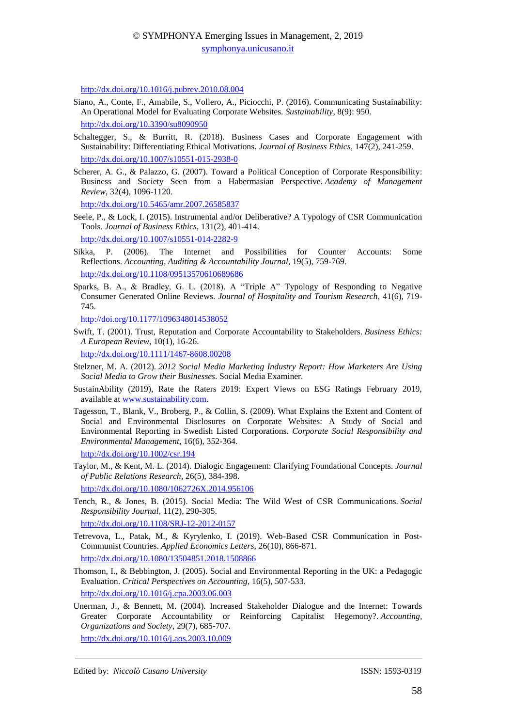[http://dx.doi.org/10.1016/j.pubrev.2010.08.004](https://doi.org/10.1016/j.pubrev.2010.08.004)

- Siano, A., Conte, F., Amabile, S., Vollero, A., Piciocchi, P. (2016). Communicating Sustainability: An Operational Model for Evaluating Corporate Websites. *Sustainability*, 8(9): 950. <http://dx.doi.org/10.3390/su8090950>
- Schaltegger, S., & Burritt, R. (2018). Business Cases and Corporate Engagement with Sustainability: Differentiating Ethical Motivations. *Journal of Business Ethics*, 147(2), 241-259. <http://dx.doi.org/10.1007/s10551-015-2938-0>
- Scherer, A. G., & Palazzo, G. (2007). Toward a Political Conception of Corporate Responsibility: Business and Society Seen from a Habermasian Perspective. *Academy of Management Review*, 32(4), 1096-1120.

[http://dx.doi.org/10.5465/amr.2007.26585837](https://doi.org/10.5465/amr.2007.26585837)

Seele, P., & Lock, I. (2015). Instrumental and/or Deliberative? A Typology of CSR Communication Tools. *Journal of Business Ethics*, 131(2), 401-414.

[http://dx.doi.org/10.1007/s10551-014-2282-9](https://doi.org/10.1007/s10551-014-2282-9)

- Sikka, P. (2006). The Internet and Possibilities for Counter Accounts: Some Reflections. *Accounting, Auditing & Accountability Journal*, 19(5), 759-769. [http://dx.doi.org/10.1108/09513570610689686](https://doi.org/10.1108/09513570610689686)
- Sparks, B. A., & Bradley, G. L. (2018). A "Triple A" Typology of Responding to Negative Consumer Generated Online Reviews. *Journal of Hospitality and Tourism Research*, 41(6), 719- 745.

http://doi.org/10.1177/1096348014538052

Swift, T. (2001). Trust, Reputation and Corporate Accountability to Stakeholders. *Business Ethics: A European Review*, 10(1), 16-26.

[http://dx.doi.org/10.1111/1467-8608.00208](https://doi.org/10.1111/1467-8608.00208)

- Stelzner, M. A. (2012). *2012 Social Media Marketing Industry Report: How Marketers Are Using Social Media to Grow their Businesses*. Social Media Examiner.
- SustainAbility (2019), Rate the Raters 2019: Expert Views on ESG Ratings February 2019, available at [www.sustainability.com.](http://www.sustainability.com/)
- Tagesson, T., Blank, V., Broberg, P., & Collin, S. (2009). What Explains the Extent and Content of Social and Environmental Disclosures on Corporate Websites: A Study of Social and Environmental Reporting in Swedish Listed Corporations. *Corporate Social Responsibility and Environmental Management*, 16(6), 352-364.

[http://dx.doi.org/10.1002/csr.194](https://doi.org/10.1002/csr.194)

Taylor, M., & Kent, M. L. (2014). Dialogic Engagement: Clarifying Foundational Concepts. *Journal of Public Relations Research*, 26(5), 384-398.

[http://dx.doi.org/10.1080/1062726X.2014.956106](https://doi.org/10.1080/1062726X.2014.956106)

Tench, R., & Jones, B. (2015). Social Media: The Wild West of CSR Communications. *Social Responsibility Journal*, 11(2), 290-305.

[http://dx.doi.org/10.1108/SRJ-12-2012-0157](https://doi.org/10.1108/SRJ-12-2012-0157)

- Tetrevova, L., Patak, M., & Kyrylenko, I. (2019). Web-Based CSR Communication in Post-Communist Countries. *Applied Economics Letters*, 26(10), 866-871. [http://dx.doi.org/10.1080/13504851.2018.1508866](https://doi.org/10.1080/13504851.2018.1508866)
- Thomson, I., & Bebbington, J. (2005). Social and Environmental Reporting in the UK: a Pedagogic Evaluation. *Critical Perspectives on Accounting*, 16(5), 507-533. [http://dx.doi.org/10.1016/j.cpa.2003.06.003](https://doi.org/10.1016/j.cpa.2003.06.003)
- Unerman, J., & Bennett, M. (2004). Increased Stakeholder Dialogue and the Internet: Towards Greater Corporate Accountability or Reinforcing Capitalist Hegemony?. *Accounting, Organizations and Society*, 29(7), 685-707. [http://dx.doi.org/10.1016/j.aos.2003.10.009](https://doi.org/10.1016/j.aos.2003.10.009)